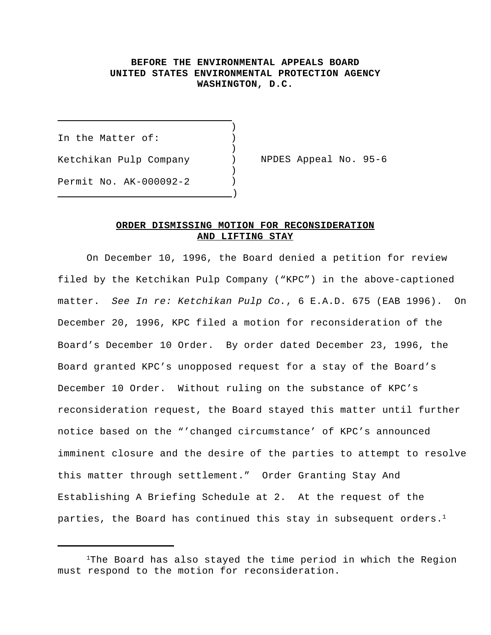## **BEFORE THE ENVIRONMENTAL APPEALS BOARD UNITED STATES ENVIRONMENTAL PROTECTION AGENCY WASHINGTON, D.C.**

)

 $\lambda$ 

 $\lambda$ 

In the Matter of: (1) Ketchikan Pulp Company ) NPDES Appeal No. 95-6 Permit No. AK-000092-2 )  $\overline{\phantom{a}}\,$ 

 $\overline{\phantom{0}}$ 

## **ORDER DISMISSING MOTION FOR RECONSIDERATION AND LIFTING STAY**

On December 10, 1996, the Board denied a petition for review filed by the Ketchikan Pulp Company ("KPC") in the above-captioned matter. *See In re: Ketchikan Pulp Co.*, 6 E.A.D. 675 (EAB 1996). On December 20, 1996, KPC filed a motion for reconsideration of the Board's December 10 Order. By order dated December 23, 1996, the Board granted KPC's unopposed request for a stay of the Board's December 10 Order. Without ruling on the substance of KPC's reconsideration request, the Board stayed this matter until further notice based on the "'changed circumstance' of KPC's announced imminent closure and the desire of the parties to attempt to resolve this matter through settlement." Order Granting Stay And Establishing A Briefing Schedule at 2. At the request of the parties, the Board has continued this stay in subsequent orders.<sup>1</sup>

<sup>&</sup>lt;sup>1</sup>The Board has also stayed the time period in which the Region must respond to the motion for reconsideration.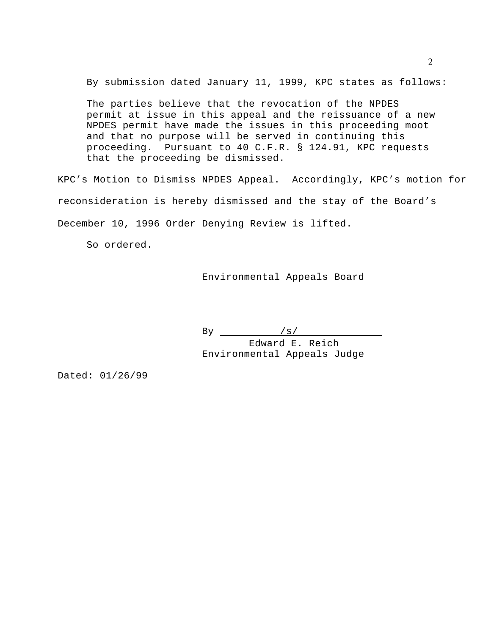By submission dated January 11, 1999, KPC states as follows:

The parties believe that the revocation of the NPDES permit at issue in this appeal and the reissuance of a new NPDES permit have made the issues in this proceeding moot and that no purpose will be served in continuing this proceeding. Pursuant to 40 C.F.R. § 124.91, KPC requests that the proceeding be dismissed.

KPC's Motion to Dismiss NPDES Appeal. Accordingly, KPC's motion for reconsideration is hereby dismissed and the stay of the Board's December 10, 1996 Order Denying Review is lifted.

So ordered.

Environmental Appeals Board

By  $/s/$ 

 Edward E. Reich Environmental Appeals Judge

Dated: 01/26/99